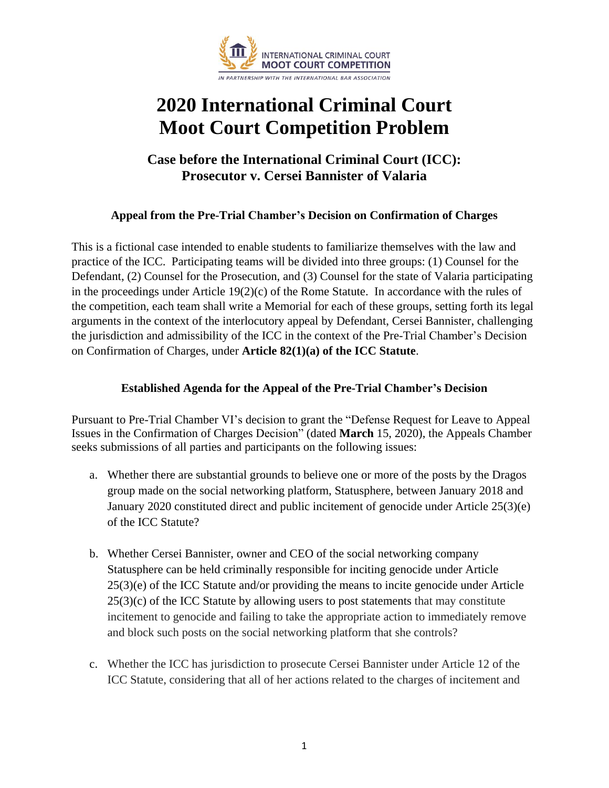

# **2020 International Criminal Court Moot Court Competition Problem**

# **Case before the International Criminal Court (ICC): Prosecutor v. Cersei Bannister of Valaria**

## **Appeal from the Pre-Trial Chamber's Decision on Confirmation of Charges**

This is a fictional case intended to enable students to familiarize themselves with the law and practice of the ICC. Participating teams will be divided into three groups: (1) Counsel for the Defendant, (2) Counsel for the Prosecution, and (3) Counsel for the state of Valaria participating in the proceedings under Article  $19(2)(c)$  of the Rome Statute. In accordance with the rules of the competition, each team shall write a Memorial for each of these groups, setting forth its legal arguments in the context of the interlocutory appeal by Defendant, Cersei Bannister, challenging the jurisdiction and admissibility of the ICC in the context of the Pre-Trial Chamber's Decision on Confirmation of Charges, under **Article 82(1)(a) of the ICC Statute**.

### **Established Agenda for the Appeal of the Pre-Trial Chamber's Decision**

Pursuant to Pre-Trial Chamber VI's decision to grant the "Defense Request for Leave to Appeal Issues in the Confirmation of Charges Decision" (dated **March** 15, 2020), the Appeals Chamber seeks submissions of all parties and participants on the following issues:

- a. Whether there are substantial grounds to believe one or more of the posts by the Dragos group made on the social networking platform, Statusphere, between January 2018 and January 2020 constituted direct and public incitement of genocide under Article 25(3)(e) of the ICC Statute?
- b. Whether Cersei Bannister, owner and CEO of the social networking company Statusphere can be held criminally responsible for inciting genocide under Article 25(3)(e) of the ICC Statute and/or providing the means to incite genocide under Article  $25(3)(c)$  of the ICC Statute by allowing users to post statements that may constitute incitement to genocide and failing to take the appropriate action to immediately remove and block such posts on the social networking platform that she controls?
- c. Whether the ICC has jurisdiction to prosecute Cersei Bannister under Article 12 of the ICC Statute, considering that all of her actions related to the charges of incitement and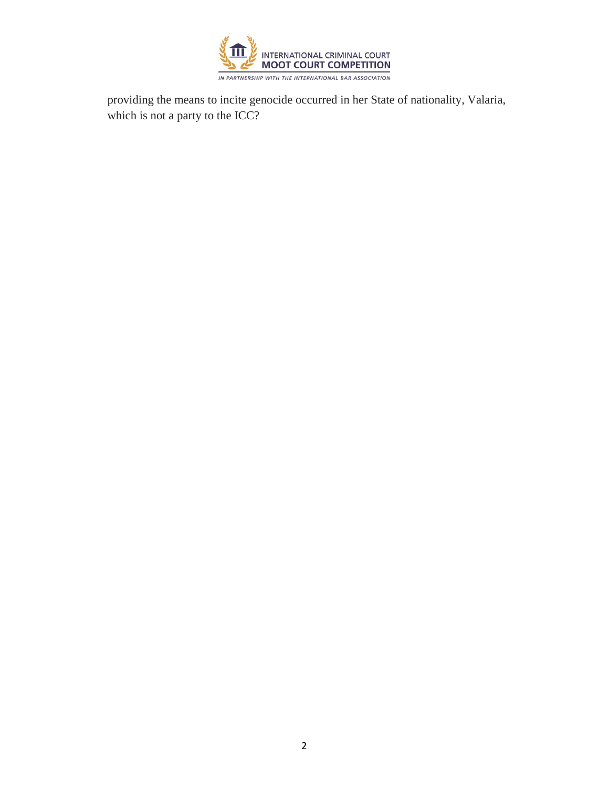

providing the means to incite genocide occurred in her State of nationality, Valaria, which is not a party to the ICC?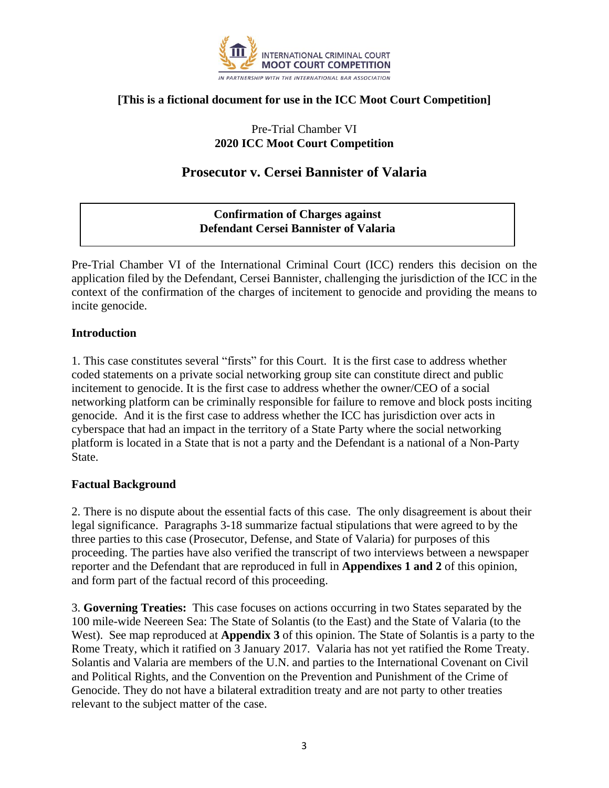

## **[This is a fictional document for use in the ICC Moot Court Competition]**

## Pre-Trial Chamber VI **2020 ICC Moot Court Competition**

# **Prosecutor v. Cersei Bannister of Valaria**

## **Confirmation of Charges against Defendant Cersei Bannister of Valaria**

Pre-Trial Chamber VI of the International Criminal Court (ICC) renders this decision on the application filed by the Defendant, Cersei Bannister, challenging the jurisdiction of the ICC in the context of the confirmation of the charges of incitement to genocide and providing the means to incite genocide.

#### **Introduction**

1. This case constitutes several "firsts" for this Court. It is the first case to address whether coded statements on a private social networking group site can constitute direct and public incitement to genocide. It is the first case to address whether the owner/CEO of a social networking platform can be criminally responsible for failure to remove and block posts inciting genocide. And it is the first case to address whether the ICC has jurisdiction over acts in cyberspace that had an impact in the territory of a State Party where the social networking platform is located in a State that is not a party and the Defendant is a national of a Non-Party State.

### **Factual Background**

2. There is no dispute about the essential facts of this case. The only disagreement is about their legal significance. Paragraphs 3-18 summarize factual stipulations that were agreed to by the three parties to this case (Prosecutor, Defense, and State of Valaria) for purposes of this proceeding. The parties have also verified the transcript of two interviews between a newspaper reporter and the Defendant that are reproduced in full in **Appendixes 1 and 2** of this opinion, and form part of the factual record of this proceeding.

3. **Governing Treaties:** This case focuses on actions occurring in two States separated by the 100 mile-wide Neereen Sea: The State of Solantis (to the East) and the State of Valaria (to the West). See map reproduced at **Appendix 3** of this opinion. The State of Solantis is a party to the Rome Treaty, which it ratified on 3 January 2017. Valaria has not yet ratified the Rome Treaty. Solantis and Valaria are members of the U.N. and parties to the International Covenant on Civil and Political Rights, and the Convention on the Prevention and Punishment of the Crime of Genocide. They do not have a bilateral extradition treaty and are not party to other treaties relevant to the subject matter of the case.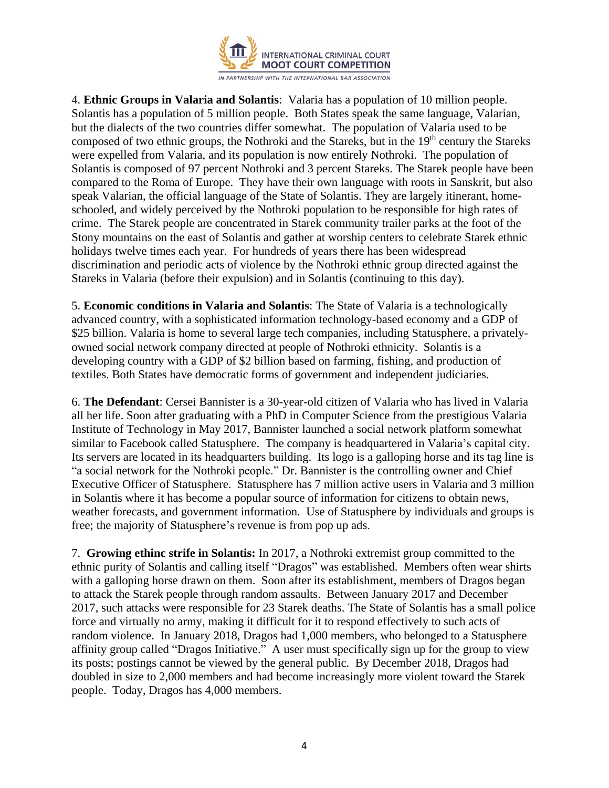

4. **Ethnic Groups in Valaria and Solantis**: Valaria has a population of 10 million people. Solantis has a population of 5 million people. Both States speak the same language, Valarian, but the dialects of the two countries differ somewhat. The population of Valaria used to be composed of two ethnic groups, the Nothroki and the Stareks, but in the 19<sup>th</sup> century the Stareks were expelled from Valaria, and its population is now entirely Nothroki. The population of Solantis is composed of 97 percent Nothroki and 3 percent Stareks. The Starek people have been compared to the Roma of Europe. They have their own language with roots in Sanskrit, but also speak Valarian, the official language of the State of Solantis. They are largely itinerant, homeschooled, and widely perceived by the Nothroki population to be responsible for high rates of crime. The Starek people are concentrated in Starek community trailer parks at the foot of the Stony mountains on the east of Solantis and gather at worship centers to celebrate Starek ethnic holidays twelve times each year. For hundreds of years there has been widespread discrimination and periodic acts of violence by the Nothroki ethnic group directed against the Stareks in Valaria (before their expulsion) and in Solantis (continuing to this day).

5. **Economic conditions in Valaria and Solantis**: The State of Valaria is a technologically advanced country, with a sophisticated information technology-based economy and a GDP of \$25 billion. Valaria is home to several large tech companies, including Statusphere, a privatelyowned social network company directed at people of Nothroki ethnicity. Solantis is a developing country with a GDP of \$2 billion based on farming, fishing, and production of textiles. Both States have democratic forms of government and independent judiciaries.

6. **The Defendant**: Cersei Bannister is a 30-year-old citizen of Valaria who has lived in Valaria all her life. Soon after graduating with a PhD in Computer Science from the prestigious Valaria Institute of Technology in May 2017, Bannister launched a social network platform somewhat similar to Facebook called Statusphere. The company is headquartered in Valaria's capital city. Its servers are located in its headquarters building. Its logo is a galloping horse and its tag line is "a social network for the Nothroki people." Dr. Bannister is the controlling owner and Chief Executive Officer of Statusphere. Statusphere has 7 million active users in Valaria and 3 million in Solantis where it has become a popular source of information for citizens to obtain news, weather forecasts, and government information. Use of Statusphere by individuals and groups is free; the majority of Statusphere's revenue is from pop up ads.

7. **Growing ethinc strife in Solantis:** In 2017, a Nothroki extremist group committed to the ethnic purity of Solantis and calling itself "Dragos" was established. Members often wear shirts with a galloping horse drawn on them. Soon after its establishment, members of Dragos began to attack the Starek people through random assaults. Between January 2017 and December 2017, such attacks were responsible for 23 Starek deaths. The State of Solantis has a small police force and virtually no army, making it difficult for it to respond effectively to such acts of random violence. In January 2018, Dragos had 1,000 members, who belonged to a Statusphere affinity group called "Dragos Initiative." A user must specifically sign up for the group to view its posts; postings cannot be viewed by the general public. By December 2018, Dragos had doubled in size to 2,000 members and had become increasingly more violent toward the Starek people. Today, Dragos has 4,000 members.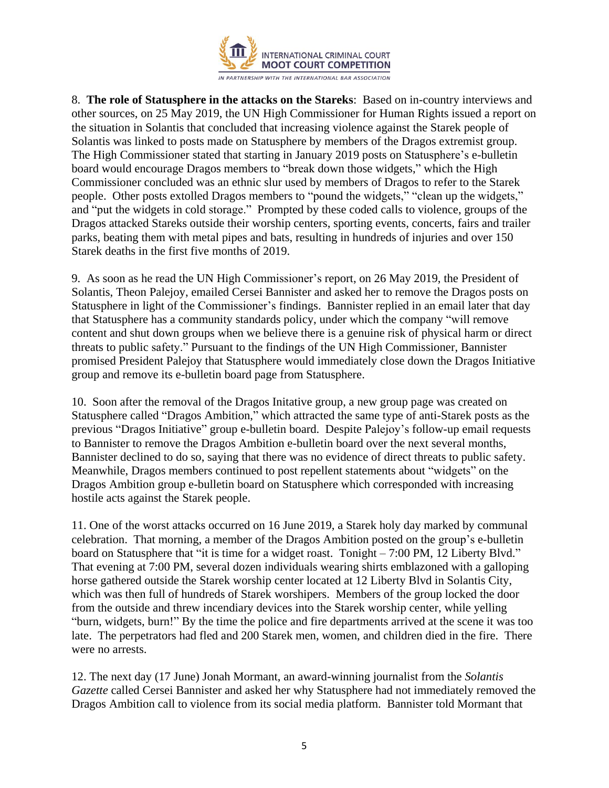

8. **The role of Statusphere in the attacks on the Stareks**: Based on in-country interviews and other sources, on 25 May 2019, the UN High Commissioner for Human Rights issued a report on the situation in Solantis that concluded that increasing violence against the Starek people of Solantis was linked to posts made on Statusphere by members of the Dragos extremist group. The High Commissioner stated that starting in January 2019 posts on Statusphere's e-bulletin board would encourage Dragos members to "break down those widgets," which the High Commissioner concluded was an ethnic slur used by members of Dragos to refer to the Starek people. Other posts extolled Dragos members to "pound the widgets," "clean up the widgets," and "put the widgets in cold storage." Prompted by these coded calls to violence, groups of the Dragos attacked Stareks outside their worship centers, sporting events, concerts, fairs and trailer parks, beating them with metal pipes and bats, resulting in hundreds of injuries and over 150 Starek deaths in the first five months of 2019.

9. As soon as he read the UN High Commissioner's report, on 26 May 2019, the President of Solantis, Theon Palejoy, emailed Cersei Bannister and asked her to remove the Dragos posts on Statusphere in light of the Commissioner's findings. Bannister replied in an email later that day that Statusphere has a community standards policy, under which the company "will remove content and shut down groups when we believe there is a genuine risk of physical harm or direct threats to public safety." Pursuant to the findings of the UN High Commissioner, Bannister promised President Palejoy that Statusphere would immediately close down the Dragos Initiative group and remove its e-bulletin board page from Statusphere.

10. Soon after the removal of the Dragos Initative group, a new group page was created on Statusphere called "Dragos Ambition," which attracted the same type of anti-Starek posts as the previous "Dragos Initiative" group e-bulletin board. Despite Palejoy's follow-up email requests to Bannister to remove the Dragos Ambition e-bulletin board over the next several months, Bannister declined to do so, saying that there was no evidence of direct threats to public safety. Meanwhile, Dragos members continued to post repellent statements about "widgets" on the Dragos Ambition group e-bulletin board on Statusphere which corresponded with increasing hostile acts against the Starek people.

11. One of the worst attacks occurred on 16 June 2019, a Starek holy day marked by communal celebration. That morning, a member of the Dragos Ambition posted on the group's e-bulletin board on Statusphere that "it is time for a widget roast. Tonight – 7:00 PM, 12 Liberty Blvd." That evening at 7:00 PM, several dozen individuals wearing shirts emblazoned with a galloping horse gathered outside the Starek worship center located at 12 Liberty Blvd in Solantis City, which was then full of hundreds of Starek worshipers. Members of the group locked the door from the outside and threw incendiary devices into the Starek worship center, while yelling "burn, widgets, burn!" By the time the police and fire departments arrived at the scene it was too late. The perpetrators had fled and 200 Starek men, women, and children died in the fire. There were no arrests.

12. The next day (17 June) Jonah Mormant, an award-winning journalist from the *Solantis Gazette* called Cersei Bannister and asked her why Statusphere had not immediately removed the Dragos Ambition call to violence from its social media platform. Bannister told Mormant that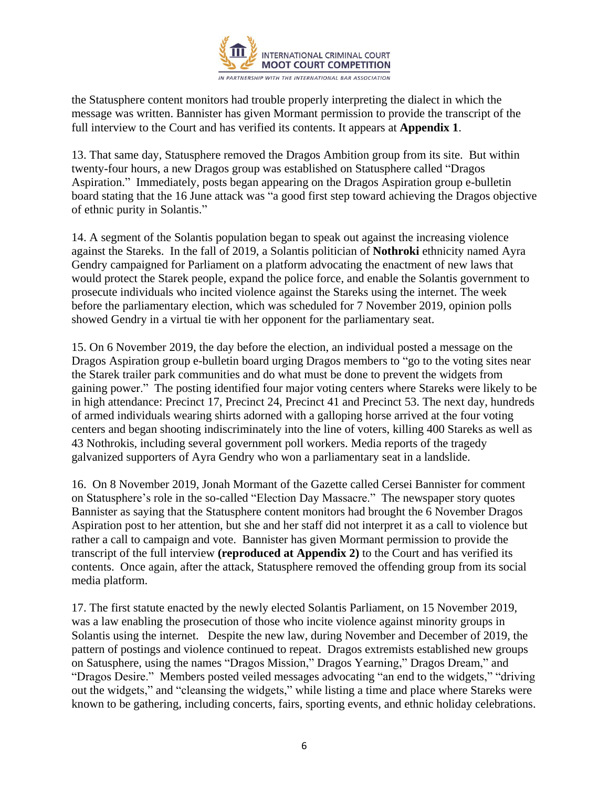

the Statusphere content monitors had trouble properly interpreting the dialect in which the message was written. Bannister has given Mormant permission to provide the transcript of the full interview to the Court and has verified its contents. It appears at **Appendix 1**.

13. That same day, Statusphere removed the Dragos Ambition group from its site. But within twenty-four hours, a new Dragos group was established on Statusphere called "Dragos Aspiration." Immediately, posts began appearing on the Dragos Aspiration group e-bulletin board stating that the 16 June attack was "a good first step toward achieving the Dragos objective of ethnic purity in Solantis."

14. A segment of the Solantis population began to speak out against the increasing violence against the Stareks. In the fall of 2019, a Solantis politician of **Nothroki** ethnicity named Ayra Gendry campaigned for Parliament on a platform advocating the enactment of new laws that would protect the Starek people, expand the police force, and enable the Solantis government to prosecute individuals who incited violence against the Stareks using the internet. The week before the parliamentary election, which was scheduled for 7 November 2019, opinion polls showed Gendry in a virtual tie with her opponent for the parliamentary seat.

15. On 6 November 2019, the day before the election, an individual posted a message on the Dragos Aspiration group e-bulletin board urging Dragos members to "go to the voting sites near the Starek trailer park communities and do what must be done to prevent the widgets from gaining power." The posting identified four major voting centers where Stareks were likely to be in high attendance: Precinct 17, Precinct 24, Precinct 41 and Precinct 53. The next day, hundreds of armed individuals wearing shirts adorned with a galloping horse arrived at the four voting centers and began shooting indiscriminately into the line of voters, killing 400 Stareks as well as 43 Nothrokis, including several government poll workers. Media reports of the tragedy galvanized supporters of Ayra Gendry who won a parliamentary seat in a landslide.

16. On 8 November 2019, Jonah Mormant of the Gazette called Cersei Bannister for comment on Statusphere's role in the so-called "Election Day Massacre." The newspaper story quotes Bannister as saying that the Statusphere content monitors had brought the 6 November Dragos Aspiration post to her attention, but she and her staff did not interpret it as a call to violence but rather a call to campaign and vote. Bannister has given Mormant permission to provide the transcript of the full interview **(reproduced at Appendix 2)** to the Court and has verified its contents. Once again, after the attack, Statusphere removed the offending group from its social media platform.

17. The first statute enacted by the newly elected Solantis Parliament, on 15 November 2019, was a law enabling the prosecution of those who incite violence against minority groups in Solantis using the internet. Despite the new law, during November and December of 2019, the pattern of postings and violence continued to repeat. Dragos extremists established new groups on Satusphere, using the names "Dragos Mission," Dragos Yearning," Dragos Dream," and "Dragos Desire." Members posted veiled messages advocating "an end to the widgets," "driving out the widgets," and "cleansing the widgets," while listing a time and place where Stareks were known to be gathering, including concerts, fairs, sporting events, and ethnic holiday celebrations.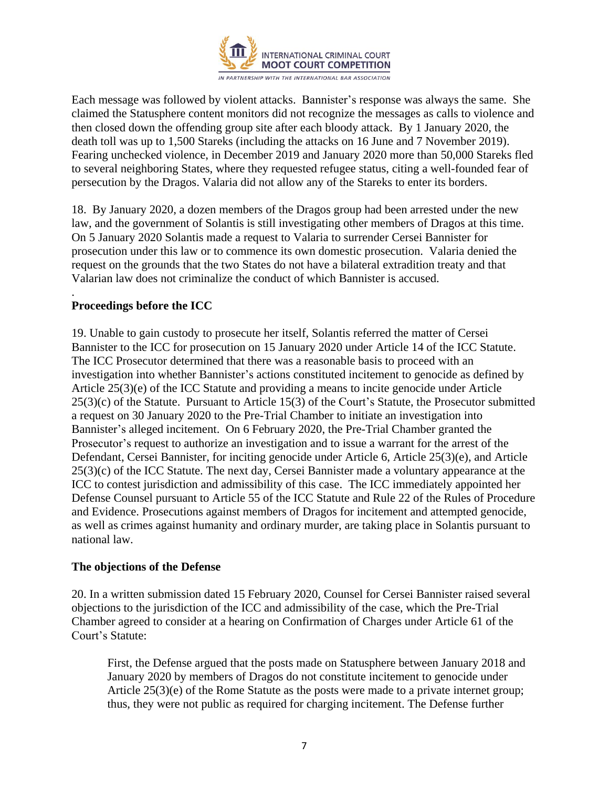

Each message was followed by violent attacks. Bannister's response was always the same. She claimed the Statusphere content monitors did not recognize the messages as calls to violence and then closed down the offending group site after each bloody attack. By 1 January 2020, the death toll was up to 1,500 Stareks (including the attacks on 16 June and 7 November 2019). Fearing unchecked violence, in December 2019 and January 2020 more than 50,000 Stareks fled to several neighboring States, where they requested refugee status, citing a well-founded fear of persecution by the Dragos. Valaria did not allow any of the Stareks to enter its borders.

18. By January 2020, a dozen members of the Dragos group had been arrested under the new law, and the government of Solantis is still investigating other members of Dragos at this time. On 5 January 2020 Solantis made a request to Valaria to surrender Cersei Bannister for prosecution under this law or to commence its own domestic prosecution. Valaria denied the request on the grounds that the two States do not have a bilateral extradition treaty and that Valarian law does not criminalize the conduct of which Bannister is accused.

#### . **Proceedings before the ICC**

19. Unable to gain custody to prosecute her itself, Solantis referred the matter of Cersei Bannister to the ICC for prosecution on 15 January 2020 under Article 14 of the ICC Statute. The ICC Prosecutor determined that there was a reasonable basis to proceed with an investigation into whether Bannister's actions constituted incitement to genocide as defined by Article 25(3)(e) of the ICC Statute and providing a means to incite genocide under Article 25(3)(c) of the Statute. Pursuant to Article 15(3) of the Court's Statute, the Prosecutor submitted a request on 30 January 2020 to the Pre-Trial Chamber to initiate an investigation into Bannister's alleged incitement. On 6 February 2020, the Pre-Trial Chamber granted the Prosecutor's request to authorize an investigation and to issue a warrant for the arrest of the Defendant, Cersei Bannister, for inciting genocide under Article 6, Article 25(3)(e), and Article 25(3)(c) of the ICC Statute. The next day, Cersei Bannister made a voluntary appearance at the ICC to contest jurisdiction and admissibility of this case. The ICC immediately appointed her Defense Counsel pursuant to Article 55 of the ICC Statute and Rule 22 of the Rules of Procedure and Evidence. Prosecutions against members of Dragos for incitement and attempted genocide, as well as crimes against humanity and ordinary murder, are taking place in Solantis pursuant to national law.

#### **The objections of the Defense**

20. In a written submission dated 15 February 2020, Counsel for Cersei Bannister raised several objections to the jurisdiction of the ICC and admissibility of the case, which the Pre-Trial Chamber agreed to consider at a hearing on Confirmation of Charges under Article 61 of the Court's Statute:

First, the Defense argued that the posts made on Statusphere between January 2018 and January 2020 by members of Dragos do not constitute incitement to genocide under Article  $25(3)(e)$  of the Rome Statute as the posts were made to a private internet group; thus, they were not public as required for charging incitement. The Defense further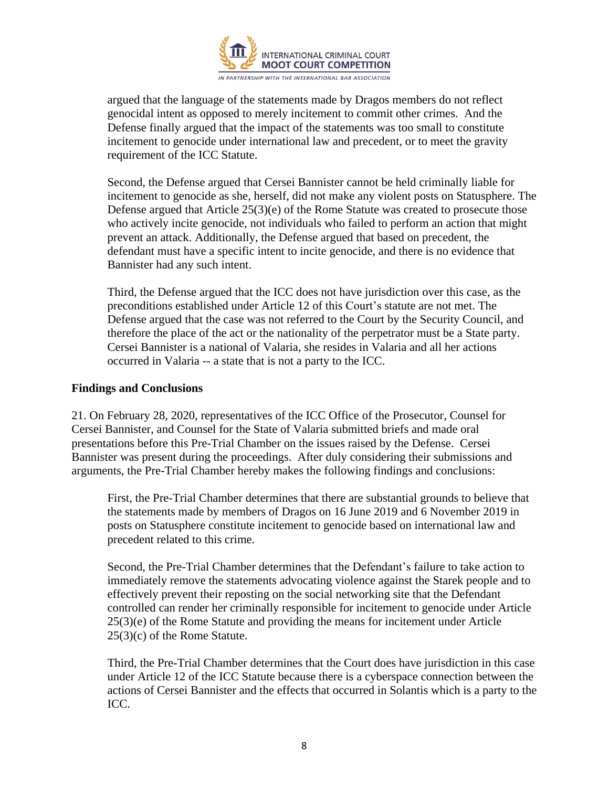

argued that the language of the statements made by Dragos members do not reflect genocidal intent as opposed to merely incitement to commit other crimes. And the Defense finally argued that the impact of the statements was too small to constitute incitement to genocide under international law and precedent, or to meet the gravity requirement of the ICC Statute.

Second, the Defense argued that Cersei Bannister cannot be held criminally liable for incitement to genocide as she, herself, did not make any violent posts on Statusphere. The Defense argued that Article 25(3)(e) of the Rome Statute was created to prosecute those who actively incite genocide, not individuals who failed to perform an action that might prevent an attack. Additionally, the Defense argued that based on precedent, the defendant must have a specific intent to incite genocide, and there is no evidence that Bannister had any such intent.

Third, the Defense argued that the ICC does not have jurisdiction over this case, as the preconditions established under Article 12 of this Court's statute are not met. The Defense argued that the case was not referred to the Court by the Security Council, and therefore the place of the act or the nationality of the perpetrator must be a State party. Cersei Bannister is a national of Valaria, she resides in Valaria and all her actions occurred in Valaria -- a state that is not a party to the ICC.

#### **Findings and Conclusions**

21. On February 28, 2020, representatives of the ICC Office of the Prosecutor, Counsel for Cersei Bannister, and Counsel for the State of Valaria submitted briefs and made oral presentations before this Pre-Trial Chamber on the issues raised by the Defense. Cersei Bannister was present during the proceedings. After duly considering their submissions and arguments, the Pre-Trial Chamber hereby makes the following findings and conclusions:

First, the Pre-Trial Chamber determines that there are substantial grounds to believe that the statements made by members of Dragos on 16 June 2019 and 6 November 2019 in posts on Statusphere constitute incitement to genocide based on international law and precedent related to this crime.

Second, the Pre-Trial Chamber determines that the Defendant's failure to take action to immediately remove the statements advocating violence against the Starek people and to effectively prevent their reposting on the social networking site that the Defendant controlled can render her criminally responsible for incitement to genocide under Article 25(3)(e) of the Rome Statute and providing the means for incitement under Article 25(3)(c) of the Rome Statute.

Third, the Pre-Trial Chamber determines that the Court does have jurisdiction in this case under Article 12 of the ICC Statute because there is a cyberspace connection between the actions of Cersei Bannister and the effects that occurred in Solantis which is a party to the ICC.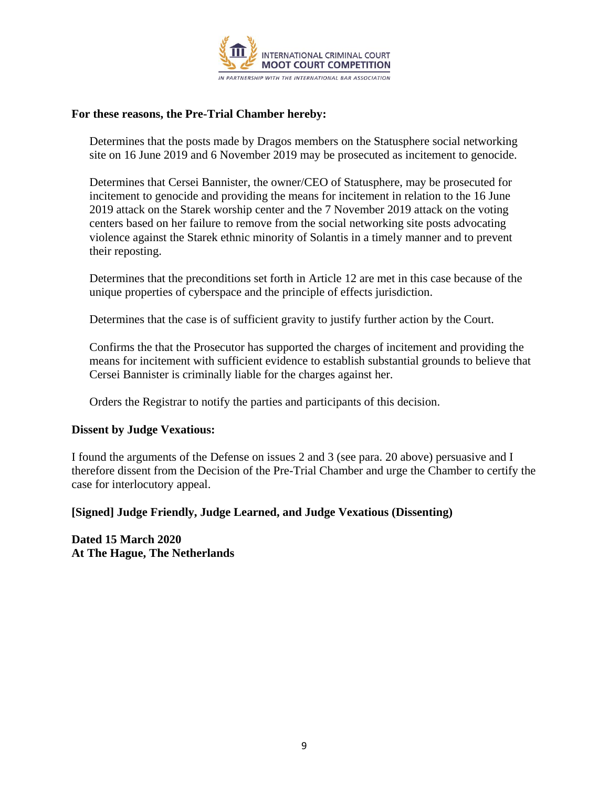

#### **For these reasons, the Pre-Trial Chamber hereby:**

Determines that the posts made by Dragos members on the Statusphere social networking site on 16 June 2019 and 6 November 2019 may be prosecuted as incitement to genocide.

Determines that Cersei Bannister, the owner/CEO of Statusphere, may be prosecuted for incitement to genocide and providing the means for incitement in relation to the 16 June 2019 attack on the Starek worship center and the 7 November 2019 attack on the voting centers based on her failure to remove from the social networking site posts advocating violence against the Starek ethnic minority of Solantis in a timely manner and to prevent their reposting.

Determines that the preconditions set forth in Article 12 are met in this case because of the unique properties of cyberspace and the principle of effects jurisdiction.

Determines that the case is of sufficient gravity to justify further action by the Court.

Confirms the that the Prosecutor has supported the charges of incitement and providing the means for incitement with sufficient evidence to establish substantial grounds to believe that Cersei Bannister is criminally liable for the charges against her.

Orders the Registrar to notify the parties and participants of this decision.

#### **Dissent by Judge Vexatious:**

I found the arguments of the Defense on issues 2 and 3 (see para. 20 above) persuasive and I therefore dissent from the Decision of the Pre-Trial Chamber and urge the Chamber to certify the case for interlocutory appeal.

#### **[Signed] Judge Friendly, Judge Learned, and Judge Vexatious (Dissenting)**

**Dated 15 March 2020 At The Hague, The Netherlands**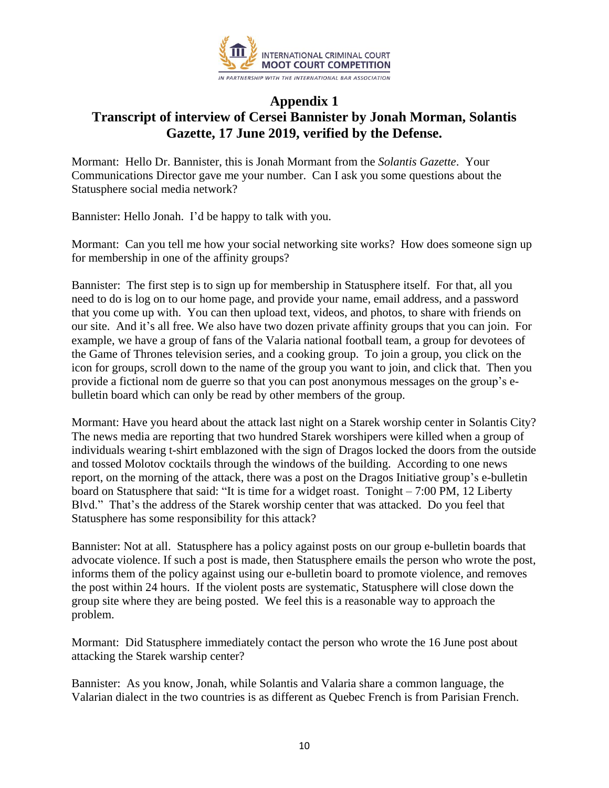

## **Appendix 1 Transcript of interview of Cersei Bannister by Jonah Morman, Solantis Gazette, 17 June 2019, verified by the Defense.**

Mormant: Hello Dr. Bannister, this is Jonah Mormant from the *Solantis Gazette*. Your Communications Director gave me your number. Can I ask you some questions about the Statusphere social media network?

Bannister: Hello Jonah. I'd be happy to talk with you.

Mormant: Can you tell me how your social networking site works? How does someone sign up for membership in one of the affinity groups?

Bannister: The first step is to sign up for membership in Statusphere itself. For that, all you need to do is log on to our home page, and provide your name, email address, and a password that you come up with. You can then upload text, videos, and photos, to share with friends on our site. And it's all free. We also have two dozen private affinity groups that you can join. For example, we have a group of fans of the Valaria national football team, a group for devotees of the Game of Thrones television series, and a cooking group. To join a group, you click on the icon for groups, scroll down to the name of the group you want to join, and click that. Then you provide a fictional nom de guerre so that you can post anonymous messages on the group's ebulletin board which can only be read by other members of the group.

Mormant: Have you heard about the attack last night on a Starek worship center in Solantis City? The news media are reporting that two hundred Starek worshipers were killed when a group of individuals wearing t-shirt emblazoned with the sign of Dragos locked the doors from the outside and tossed Molotov cocktails through the windows of the building. According to one news report, on the morning of the attack, there was a post on the Dragos Initiative group's e-bulletin board on Statusphere that said: "It is time for a widget roast. Tonight – 7:00 PM, 12 Liberty Blvd." That's the address of the Starek worship center that was attacked. Do you feel that Statusphere has some responsibility for this attack?

Bannister: Not at all. Statusphere has a policy against posts on our group e-bulletin boards that advocate violence. If such a post is made, then Statusphere emails the person who wrote the post, informs them of the policy against using our e-bulletin board to promote violence, and removes the post within 24 hours. If the violent posts are systematic, Statusphere will close down the group site where they are being posted. We feel this is a reasonable way to approach the problem.

Mormant: Did Statusphere immediately contact the person who wrote the 16 June post about attacking the Starek warship center?

Bannister: As you know, Jonah, while Solantis and Valaria share a common language, the Valarian dialect in the two countries is as different as Quebec French is from Parisian French.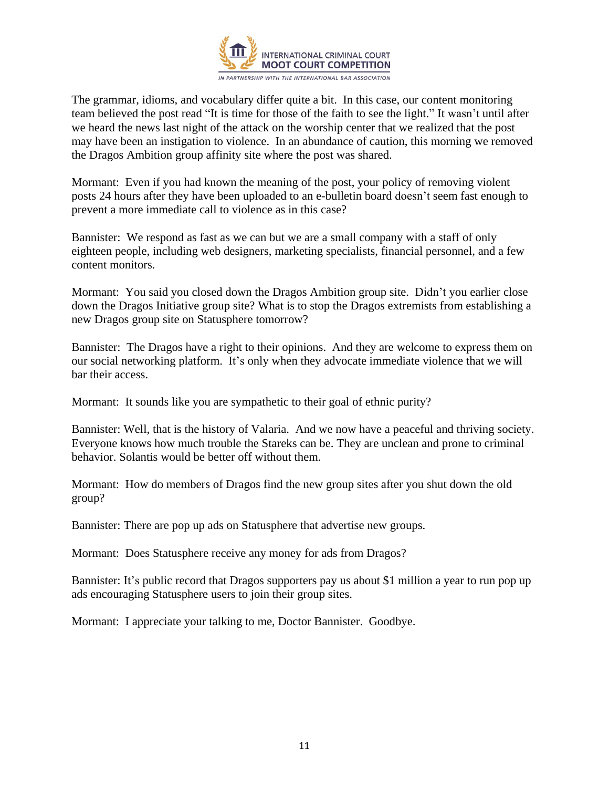

The grammar, idioms, and vocabulary differ quite a bit. In this case, our content monitoring team believed the post read "It is time for those of the faith to see the light." It wasn't until after we heard the news last night of the attack on the worship center that we realized that the post may have been an instigation to violence. In an abundance of caution, this morning we removed the Dragos Ambition group affinity site where the post was shared.

Mormant: Even if you had known the meaning of the post, your policy of removing violent posts 24 hours after they have been uploaded to an e-bulletin board doesn't seem fast enough to prevent a more immediate call to violence as in this case?

Bannister: We respond as fast as we can but we are a small company with a staff of only eighteen people, including web designers, marketing specialists, financial personnel, and a few content monitors.

Mormant: You said you closed down the Dragos Ambition group site. Didn't you earlier close down the Dragos Initiative group site? What is to stop the Dragos extremists from establishing a new Dragos group site on Statusphere tomorrow?

Bannister: The Dragos have a right to their opinions. And they are welcome to express them on our social networking platform. It's only when they advocate immediate violence that we will bar their access.

Mormant: It sounds like you are sympathetic to their goal of ethnic purity?

Bannister: Well, that is the history of Valaria. And we now have a peaceful and thriving society. Everyone knows how much trouble the Stareks can be. They are unclean and prone to criminal behavior. Solantis would be better off without them.

Mormant: How do members of Dragos find the new group sites after you shut down the old group?

Bannister: There are pop up ads on Statusphere that advertise new groups.

Mormant: Does Statusphere receive any money for ads from Dragos?

Bannister: It's public record that Dragos supporters pay us about \$1 million a year to run pop up ads encouraging Statusphere users to join their group sites.

Mormant: I appreciate your talking to me, Doctor Bannister. Goodbye.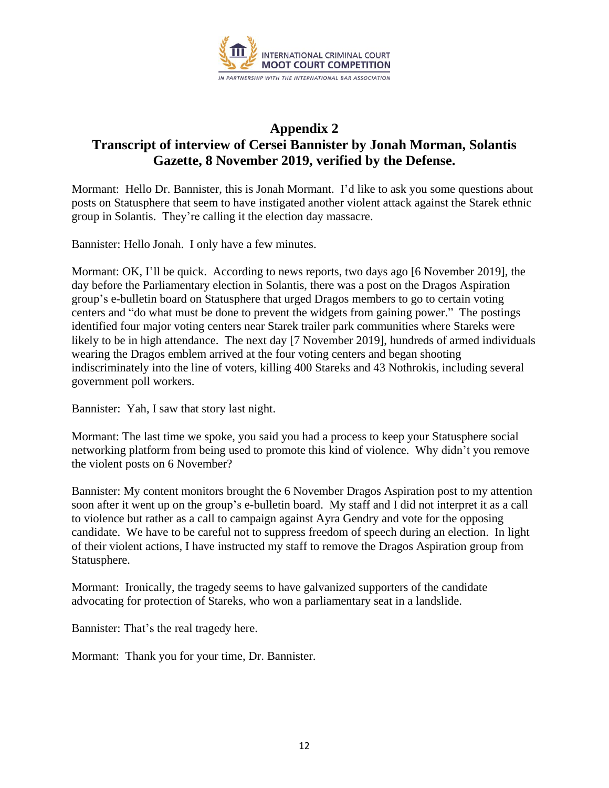

## **Appendix 2 Transcript of interview of Cersei Bannister by Jonah Morman, Solantis Gazette, 8 November 2019, verified by the Defense.**

Mormant: Hello Dr. Bannister, this is Jonah Mormant. I'd like to ask you some questions about posts on Statusphere that seem to have instigated another violent attack against the Starek ethnic group in Solantis. They're calling it the election day massacre.

Bannister: Hello Jonah. I only have a few minutes.

Mormant: OK, I'll be quick. According to news reports, two days ago [6 November 2019], the day before the Parliamentary election in Solantis, there was a post on the Dragos Aspiration group's e-bulletin board on Statusphere that urged Dragos members to go to certain voting centers and "do what must be done to prevent the widgets from gaining power." The postings identified four major voting centers near Starek trailer park communities where Stareks were likely to be in high attendance. The next day [7 November 2019], hundreds of armed individuals wearing the Dragos emblem arrived at the four voting centers and began shooting indiscriminately into the line of voters, killing 400 Stareks and 43 Nothrokis, including several government poll workers.

Bannister: Yah, I saw that story last night.

Mormant: The last time we spoke, you said you had a process to keep your Statusphere social networking platform from being used to promote this kind of violence. Why didn't you remove the violent posts on 6 November?

Bannister: My content monitors brought the 6 November Dragos Aspiration post to my attention soon after it went up on the group's e-bulletin board. My staff and I did not interpret it as a call to violence but rather as a call to campaign against Ayra Gendry and vote for the opposing candidate. We have to be careful not to suppress freedom of speech during an election. In light of their violent actions, I have instructed my staff to remove the Dragos Aspiration group from Statusphere.

Mormant: Ironically, the tragedy seems to have galvanized supporters of the candidate advocating for protection of Stareks, who won a parliamentary seat in a landslide.

Bannister: That's the real tragedy here.

Mormant: Thank you for your time, Dr. Bannister.